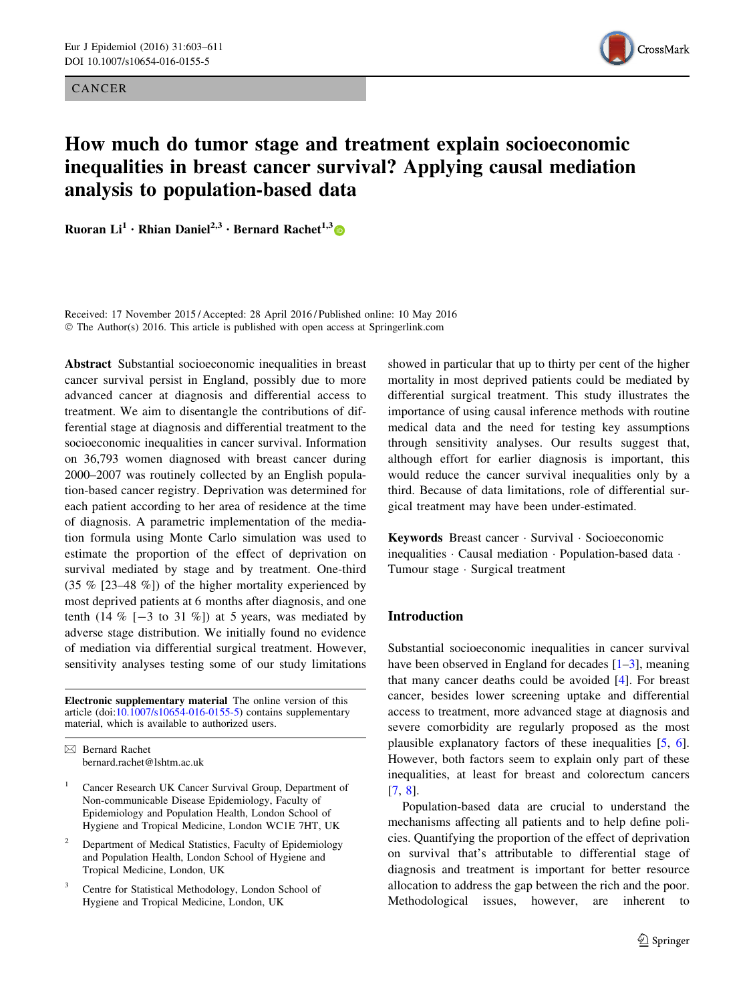CANCER



# How much do tumor stage and treatment explain socioeconomic inequalities in breast cancer survival? Applying causal mediation analysis to population-based data

Ruoran Li<sup>1</sup> • Rhian Daniel<sup>2,3</sup> • Bernard Rachet<sup>1,3</sup>

Received: 17 November 2015 / Accepted: 28 April 2016 / Published online: 10 May 2016 © The Author(s) 2016. This article is published with open access at Springerlink.com

Abstract Substantial socioeconomic inequalities in breast cancer survival persist in England, possibly due to more advanced cancer at diagnosis and differential access to treatment. We aim to disentangle the contributions of differential stage at diagnosis and differential treatment to the socioeconomic inequalities in cancer survival. Information on 36,793 women diagnosed with breast cancer during 2000–2007 was routinely collected by an English population-based cancer registry. Deprivation was determined for each patient according to her area of residence at the time of diagnosis. A parametric implementation of the mediation formula using Monte Carlo simulation was used to estimate the proportion of the effect of deprivation on survival mediated by stage and by treatment. One-third (35 % [23–48 %]) of the higher mortality experienced by most deprived patients at 6 months after diagnosis, and one tenth (14  $\%$  [-3 to 31  $\%$ ) at 5 years, was mediated by adverse stage distribution. We initially found no evidence of mediation via differential surgical treatment. However, sensitivity analyses testing some of our study limitations

Electronic supplementary material The online version of this article (doi:[10.1007/s10654-016-0155-5\)](http://dx.doi.org/10.1007/s10654-016-0155-5) contains supplementary material, which is available to authorized users.

 $\boxtimes$  Bernard Rachet bernard.rachet@lshtm.ac.uk

- <sup>1</sup> Cancer Research UK Cancer Survival Group, Department of Non-communicable Disease Epidemiology, Faculty of Epidemiology and Population Health, London School of Hygiene and Tropical Medicine, London WC1E 7HT, UK
- <sup>2</sup> Department of Medical Statistics, Faculty of Epidemiology and Population Health, London School of Hygiene and Tropical Medicine, London, UK
- Centre for Statistical Methodology, London School of Hygiene and Tropical Medicine, London, UK

showed in particular that up to thirty per cent of the higher mortality in most deprived patients could be mediated by differential surgical treatment. This study illustrates the importance of using causal inference methods with routine medical data and the need for testing key assumptions through sensitivity analyses. Our results suggest that, although effort for earlier diagnosis is important, this would reduce the cancer survival inequalities only by a third. Because of data limitations, role of differential surgical treatment may have been under-estimated.

Keywords Breast cancer - Survival - Socioeconomic inequalities - Causal mediation - Population-based data - Tumour stage - Surgical treatment

# Introduction

Substantial socioeconomic inequalities in cancer survival have been observed in England for decades  $[1-3]$  $[1-3]$ , meaning that many cancer deaths could be avoided [\[4](#page-8-0)]. For breast cancer, besides lower screening uptake and differential access to treatment, more advanced stage at diagnosis and severe comorbidity are regularly proposed as the most plausible explanatory factors of these inequalities [[5,](#page-8-0) [6](#page-8-0)]. However, both factors seem to explain only part of these inequalities, at least for breast and colorectum cancers [\[7](#page-8-0), [8](#page-8-0)].

Population-based data are crucial to understand the mechanisms affecting all patients and to help define policies. Quantifying the proportion of the effect of deprivation on survival that's attributable to differential stage of diagnosis and treatment is important for better resource allocation to address the gap between the rich and the poor. Methodological issues, however, are inherent to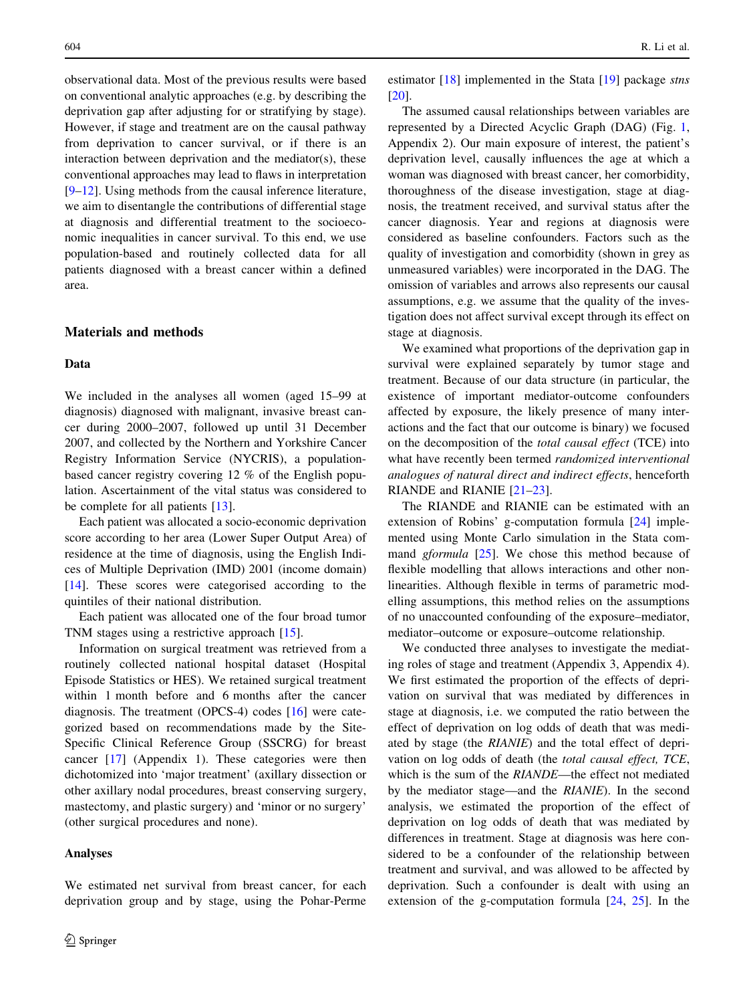observational data. Most of the previous results were based on conventional analytic approaches (e.g. by describing the deprivation gap after adjusting for or stratifying by stage). However, if stage and treatment are on the causal pathway from deprivation to cancer survival, or if there is an interaction between deprivation and the mediator(s), these conventional approaches may lead to flaws in interpretation [\[9–12](#page-8-0)]. Using methods from the causal inference literature, we aim to disentangle the contributions of differential stage at diagnosis and differential treatment to the socioeconomic inequalities in cancer survival. To this end, we use population-based and routinely collected data for all patients diagnosed with a breast cancer within a defined area.

# Materials and methods

#### Data

We included in the analyses all women (aged 15–99 at diagnosis) diagnosed with malignant, invasive breast cancer during 2000–2007, followed up until 31 December 2007, and collected by the Northern and Yorkshire Cancer Registry Information Service (NYCRIS), a populationbased cancer registry covering 12 % of the English population. Ascertainment of the vital status was considered to be complete for all patients [\[13](#page-8-0)].

Each patient was allocated a socio-economic deprivation score according to her area (Lower Super Output Area) of residence at the time of diagnosis, using the English Indices of Multiple Deprivation (IMD) 2001 (income domain) [\[14](#page-8-0)]. These scores were categorised according to the quintiles of their national distribution.

Each patient was allocated one of the four broad tumor TNM stages using a restrictive approach [[15\]](#page-8-0).

Information on surgical treatment was retrieved from a routinely collected national hospital dataset (Hospital Episode Statistics or HES). We retained surgical treatment within 1 month before and 6 months after the cancer diagnosis. The treatment (OPCS-4) codes [\[16](#page-8-0)] were categorized based on recommendations made by the Site-Specific Clinical Reference Group (SSCRG) for breast cancer [\[17](#page-8-0)] (Appendix 1). These categories were then dichotomized into 'major treatment' (axillary dissection or other axillary nodal procedures, breast conserving surgery, mastectomy, and plastic surgery) and 'minor or no surgery' (other surgical procedures and none).

#### Analyses

We estimated net survival from breast cancer, for each deprivation group and by stage, using the Pohar-Perme estimator [\[18](#page-8-0)] implemented in the Stata [[19\]](#page-8-0) package *stns* [\[20](#page-8-0)].

The assumed causal relationships between variables are represented by a Directed Acyclic Graph (DAG) (Fig. [1,](#page-2-0) Appendix 2). Our main exposure of interest, the patient's deprivation level, causally influences the age at which a woman was diagnosed with breast cancer, her comorbidity, thoroughness of the disease investigation, stage at diagnosis, the treatment received, and survival status after the cancer diagnosis. Year and regions at diagnosis were considered as baseline confounders. Factors such as the quality of investigation and comorbidity (shown in grey as unmeasured variables) were incorporated in the DAG. The omission of variables and arrows also represents our causal assumptions, e.g. we assume that the quality of the investigation does not affect survival except through its effect on stage at diagnosis.

We examined what proportions of the deprivation gap in survival were explained separately by tumor stage and treatment. Because of our data structure (in particular, the existence of important mediator-outcome confounders affected by exposure, the likely presence of many interactions and the fact that our outcome is binary) we focused on the decomposition of the total causal effect (TCE) into what have recently been termed randomized interventional analogues of natural direct and indirect effects, henceforth RIANDE and RIANIE [\[21–23](#page-8-0)].

The RIANDE and RIANIE can be estimated with an extension of Robins' g-computation formula [\[24](#page-8-0)] implemented using Monte Carlo simulation in the Stata command gformula [\[25](#page-8-0)]. We chose this method because of flexible modelling that allows interactions and other nonlinearities. Although flexible in terms of parametric modelling assumptions, this method relies on the assumptions of no unaccounted confounding of the exposure–mediator, mediator–outcome or exposure–outcome relationship.

We conducted three analyses to investigate the mediating roles of stage and treatment (Appendix 3, Appendix 4). We first estimated the proportion of the effects of deprivation on survival that was mediated by differences in stage at diagnosis, i.e. we computed the ratio between the effect of deprivation on log odds of death that was mediated by stage (the RIANIE) and the total effect of deprivation on log odds of death (the total causal effect, TCE, which is the sum of the RIANDE—the effect not mediated by the mediator stage—and the RIANIE). In the second analysis, we estimated the proportion of the effect of deprivation on log odds of death that was mediated by differences in treatment. Stage at diagnosis was here considered to be a confounder of the relationship between treatment and survival, and was allowed to be affected by deprivation. Such a confounder is dealt with using an extension of the g-computation formula [[24,](#page-8-0) [25\]](#page-8-0). In the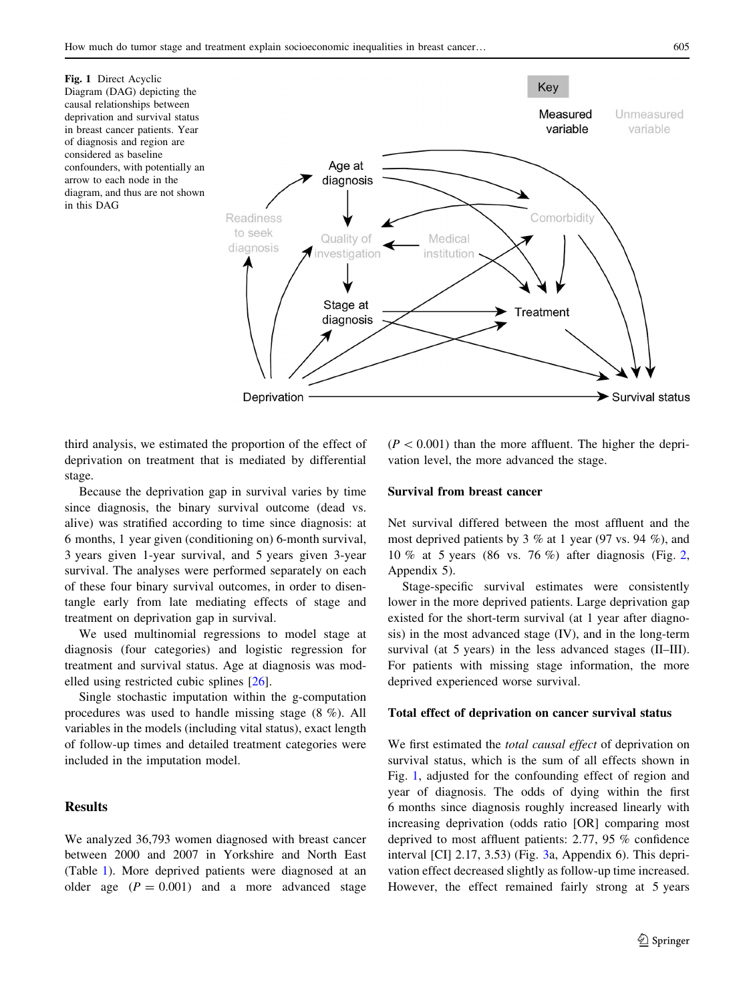<span id="page-2-0"></span>Fig. 1 Direct Acyclic Diagram (DAG) depicting the causal relationships between deprivation and survival status in breast cancer patients. Year of diagnosis and region are considered as baseline confounders, with potentially an arrow to each node in the diagram, and thus are not shown in this DAG



third analysis, we estimated the proportion of the effect of deprivation on treatment that is mediated by differential stage.

Because the deprivation gap in survival varies by time since diagnosis, the binary survival outcome (dead vs. alive) was stratified according to time since diagnosis: at 6 months, 1 year given (conditioning on) 6-month survival, 3 years given 1-year survival, and 5 years given 3-year survival. The analyses were performed separately on each of these four binary survival outcomes, in order to disentangle early from late mediating effects of stage and treatment on deprivation gap in survival.

We used multinomial regressions to model stage at diagnosis (four categories) and logistic regression for treatment and survival status. Age at diagnosis was modelled using restricted cubic splines [[26\]](#page-8-0).

Single stochastic imputation within the g-computation procedures was used to handle missing stage (8 %). All variables in the models (including vital status), exact length of follow-up times and detailed treatment categories were included in the imputation model.

# Results

We analyzed 36,793 women diagnosed with breast cancer between 2000 and 2007 in Yorkshire and North East (Table [1](#page-3-0)). More deprived patients were diagnosed at an older age  $(P = 0.001)$  and a more advanced stage

 $(P<0.001)$  than the more affluent. The higher the deprivation level, the more advanced the stage.

## Survival from breast cancer

Net survival differed between the most affluent and the most deprived patients by 3 % at 1 year (97 vs. 94 %), and 10 % at 5 years (86 vs. 76 %) after diagnosis (Fig. [2,](#page-3-0) Appendix 5).

Stage-specific survival estimates were consistently lower in the more deprived patients. Large deprivation gap existed for the short-term survival (at 1 year after diagnosis) in the most advanced stage (IV), and in the long-term survival (at 5 years) in the less advanced stages (II–III). For patients with missing stage information, the more deprived experienced worse survival.

## Total effect of deprivation on cancer survival status

We first estimated the *total causal effect* of deprivation on survival status, which is the sum of all effects shown in Fig. 1, adjusted for the confounding effect of region and year of diagnosis. The odds of dying within the first 6 months since diagnosis roughly increased linearly with increasing deprivation (odds ratio [OR] comparing most deprived to most affluent patients: 2.77, 95 % confidence interval [CI] 2.17, 3.53) (Fig. [3](#page-4-0)a, Appendix 6). This deprivation effect decreased slightly as follow-up time increased. However, the effect remained fairly strong at 5 years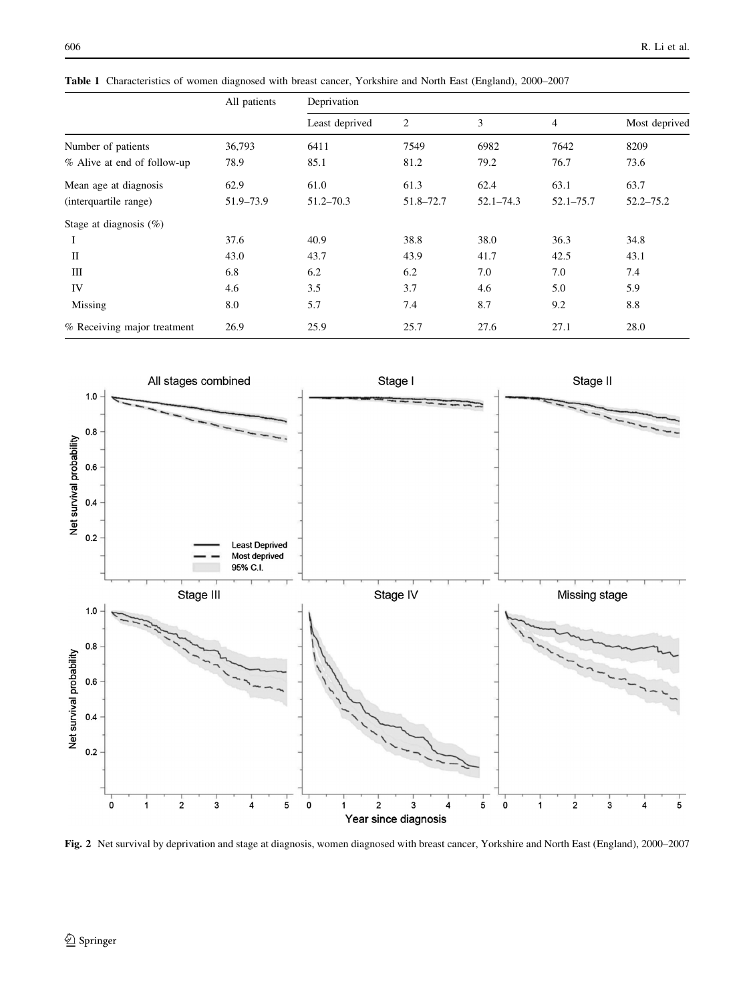|                             | All patients | Deprivation    |           |               |               |               |
|-----------------------------|--------------|----------------|-----------|---------------|---------------|---------------|
|                             |              | Least deprived | 2         | 3             | 4             | Most deprived |
| Number of patients          | 36,793       | 6411           | 7549      | 6982          | 7642          | 8209          |
| % Alive at end of follow-up | 78.9         | 85.1           | 81.2      | 79.2          | 76.7          | 73.6          |
| Mean age at diagnosis       | 62.9         | 61.0           | 61.3      | 62.4          | 63.1          | 63.7          |
| (interquartile range)       | 51.9-73.9    | $51.2 - 70.3$  | 51.8-72.7 | $52.1 - 74.3$ | $52.1 - 75.7$ | $52.2 - 75.2$ |
| Stage at diagnosis $(\%)$   |              |                |           |               |               |               |
| 1                           | 37.6         | 40.9           | 38.8      | 38.0          | 36.3          | 34.8          |
| $\mathbf{I}$                | 43.0         | 43.7           | 43.9      | 41.7          | 42.5          | 43.1          |
| Ш                           | 6.8          | 6.2            | 6.2       | 7.0           | 7.0           | 7.4           |
| IV                          | 4.6          | 3.5            | 3.7       | 4.6           | 5.0           | 5.9           |
| Missing                     | 8.0          | 5.7            | 7.4       | 8.7           | 9.2           | 8.8           |
| % Receiving major treatment | 26.9         | 25.9           | 25.7      | 27.6          | 27.1          | 28.0          |

<span id="page-3-0"></span>Table 1 Characteristics of women diagnosed with breast cancer, Yorkshire and North East (England), 2000–2007



Fig. 2 Net survival by deprivation and stage at diagnosis, women diagnosed with breast cancer, Yorkshire and North East (England), 2000–2007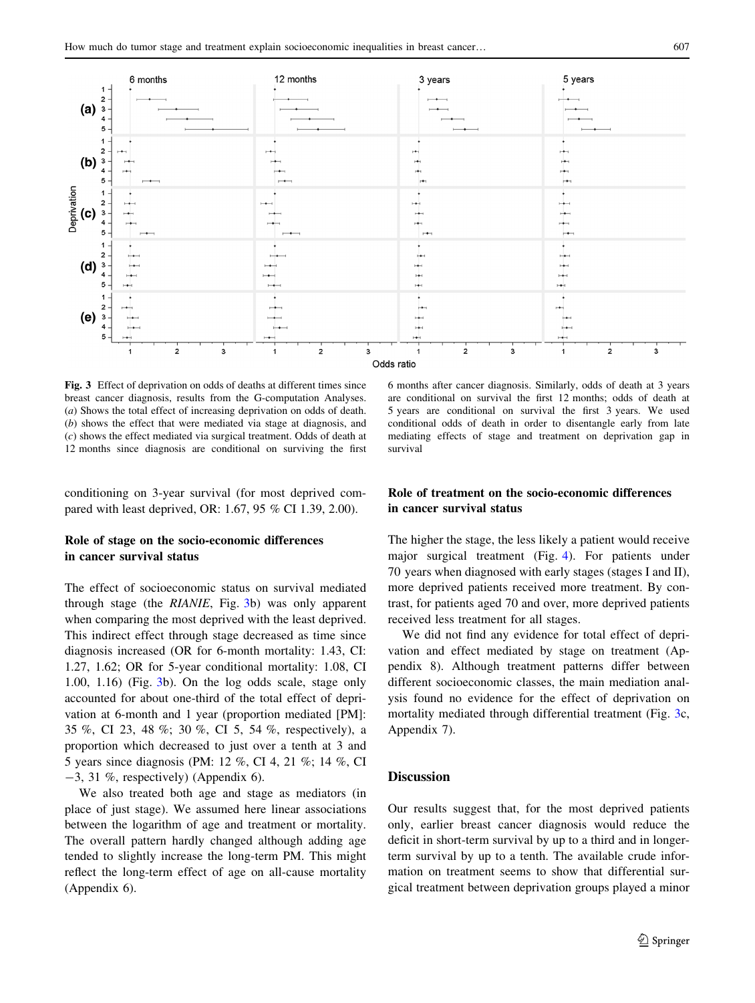<span id="page-4-0"></span>

Fig. 3 Effect of deprivation on odds of deaths at different times since breast cancer diagnosis, results from the G-computation Analyses. (a) Shows the total effect of increasing deprivation on odds of death. (b) shows the effect that were mediated via stage at diagnosis, and (c) shows the effect mediated via surgical treatment. Odds of death at 12 months since diagnosis are conditional on surviving the first

conditioning on 3-year survival (for most deprived compared with least deprived, OR: 1.67, 95 % CI 1.39, 2.00).

# Role of stage on the socio-economic differences in cancer survival status

The effect of socioeconomic status on survival mediated through stage (the RIANIE, Fig. 3b) was only apparent when comparing the most deprived with the least deprived. This indirect effect through stage decreased as time since diagnosis increased (OR for 6-month mortality: 1.43, CI: 1.27, 1.62; OR for 5-year conditional mortality: 1.08, CI 1.00, 1.16) (Fig. 3b). On the log odds scale, stage only accounted for about one-third of the total effect of deprivation at 6-month and 1 year (proportion mediated [PM]: 35 %, CI 23, 48 %; 30 %, CI 5, 54 %, respectively), a proportion which decreased to just over a tenth at 3 and 5 years since diagnosis (PM: 12 %, CI 4, 21 %; 14 %, CI  $-3$ , 31 %, respectively) (Appendix 6).

We also treated both age and stage as mediators (in place of just stage). We assumed here linear associations between the logarithm of age and treatment or mortality. The overall pattern hardly changed although adding age tended to slightly increase the long-term PM. This might reflect the long-term effect of age on all-cause mortality (Appendix 6).

6 months after cancer diagnosis. Similarly, odds of death at 3 years are conditional on survival the first 12 months; odds of death at 5 years are conditional on survival the first 3 years. We used conditional odds of death in order to disentangle early from late mediating effects of stage and treatment on deprivation gap in survival

## Role of treatment on the socio-economic differences in cancer survival status

The higher the stage, the less likely a patient would receive major surgical treatment (Fig. [4\)](#page-5-0). For patients under 70 years when diagnosed with early stages (stages I and II), more deprived patients received more treatment. By contrast, for patients aged 70 and over, more deprived patients received less treatment for all stages.

We did not find any evidence for total effect of deprivation and effect mediated by stage on treatment (Appendix 8). Although treatment patterns differ between different socioeconomic classes, the main mediation analysis found no evidence for the effect of deprivation on mortality mediated through differential treatment (Fig. 3c, Appendix 7).

# **Discussion**

Our results suggest that, for the most deprived patients only, earlier breast cancer diagnosis would reduce the deficit in short-term survival by up to a third and in longerterm survival by up to a tenth. The available crude information on treatment seems to show that differential surgical treatment between deprivation groups played a minor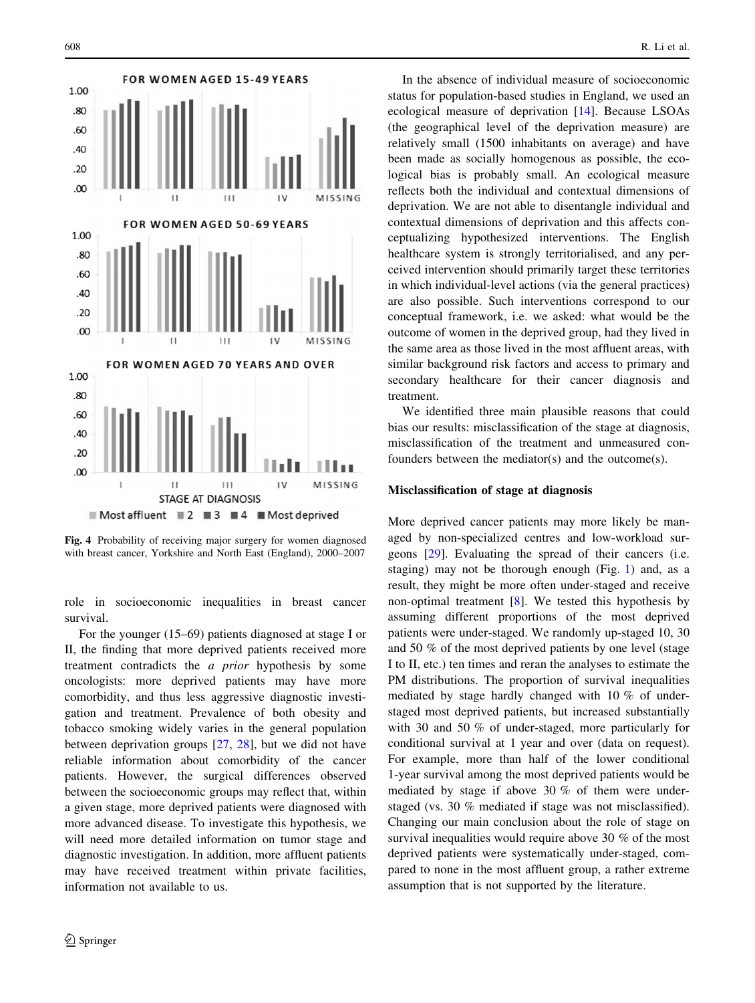<span id="page-5-0"></span>

Fig. 4 Probability of receiving major surgery for women diagnosed with breast cancer, Yorkshire and North East (England), 2000–2007

role in socioeconomic inequalities in breast cancer survival.

For the younger (15–69) patients diagnosed at stage I or II, the finding that more deprived patients received more treatment contradicts the a prior hypothesis by some oncologists: more deprived patients may have more comorbidity, and thus less aggressive diagnostic investigation and treatment. Prevalence of both obesity and tobacco smoking widely varies in the general population between deprivation groups [[27,](#page-8-0) [28\]](#page-8-0), but we did not have reliable information about comorbidity of the cancer patients. However, the surgical differences observed between the socioeconomic groups may reflect that, within a given stage, more deprived patients were diagnosed with more advanced disease. To investigate this hypothesis, we will need more detailed information on tumor stage and diagnostic investigation. In addition, more affluent patients may have received treatment within private facilities, information not available to us.

In the absence of individual measure of socioeconomic status for population-based studies in England, we used an ecological measure of deprivation [\[14](#page-8-0)]. Because LSOAs (the geographical level of the deprivation measure) are relatively small (1500 inhabitants on average) and have been made as socially homogenous as possible, the ecological bias is probably small. An ecological measure reflects both the individual and contextual dimensions of deprivation. We are not able to disentangle individual and contextual dimensions of deprivation and this affects conceptualizing hypothesized interventions. The English healthcare system is strongly territorialised, and any perceived intervention should primarily target these territories in which individual-level actions (via the general practices) are also possible. Such interventions correspond to our conceptual framework, i.e. we asked: what would be the outcome of women in the deprived group, had they lived in the same area as those lived in the most affluent areas, with similar background risk factors and access to primary and secondary healthcare for their cancer diagnosis and treatment.

We identified three main plausible reasons that could bias our results: misclassification of the stage at diagnosis, misclassification of the treatment and unmeasured confounders between the mediator(s) and the outcome(s).

#### Misclassification of stage at diagnosis

More deprived cancer patients may more likely be managed by non-specialized centres and low-workload surgeons [[29\]](#page-8-0). Evaluating the spread of their cancers (i.e. staging) may not be thorough enough (Fig. [1\)](#page-2-0) and, as a result, they might be more often under-staged and receive non-optimal treatment [[8\]](#page-8-0). We tested this hypothesis by assuming different proportions of the most deprived patients were under-staged. We randomly up-staged 10, 30 and 50 % of the most deprived patients by one level (stage I to II, etc.) ten times and reran the analyses to estimate the PM distributions. The proportion of survival inequalities mediated by stage hardly changed with 10 % of understaged most deprived patients, but increased substantially with 30 and 50 % of under-staged, more particularly for conditional survival at 1 year and over (data on request). For example, more than half of the lower conditional 1-year survival among the most deprived patients would be mediated by stage if above 30 % of them were understaged (vs. 30 % mediated if stage was not misclassified). Changing our main conclusion about the role of stage on survival inequalities would require above 30 % of the most deprived patients were systematically under-staged, compared to none in the most affluent group, a rather extreme assumption that is not supported by the literature.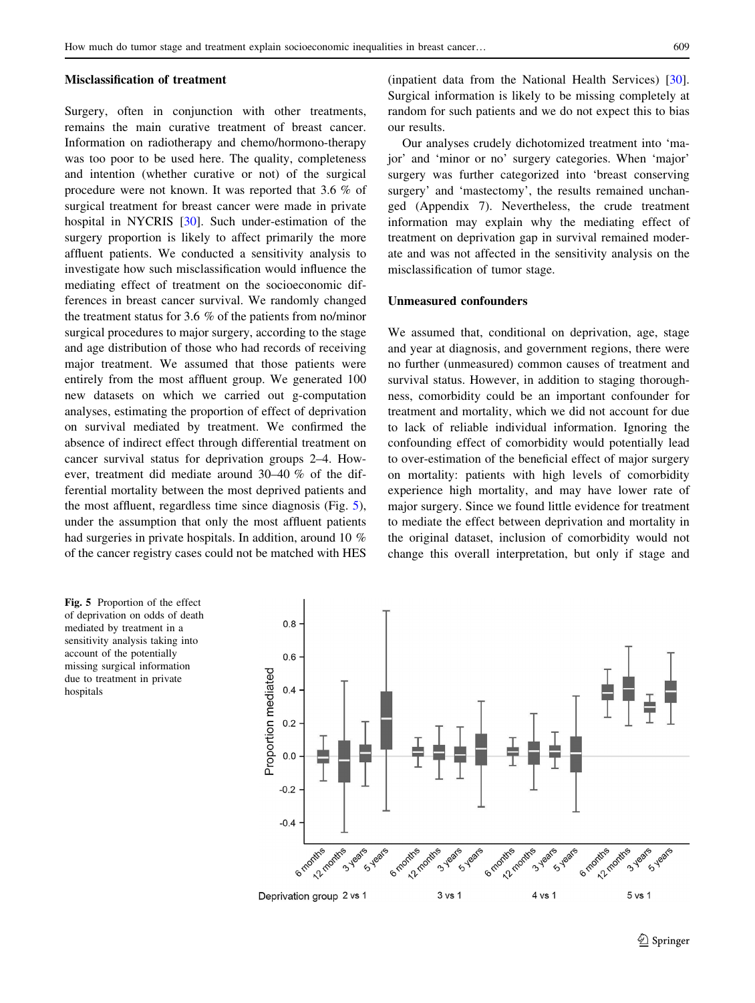#### Misclassification of treatment

Surgery, often in conjunction with other treatments, remains the main curative treatment of breast cancer. Information on radiotherapy and chemo/hormono-therapy was too poor to be used here. The quality, completeness and intention (whether curative or not) of the surgical procedure were not known. It was reported that 3.6 % of surgical treatment for breast cancer were made in private hospital in NYCRIS [\[30](#page-8-0)]. Such under-estimation of the surgery proportion is likely to affect primarily the more affluent patients. We conducted a sensitivity analysis to investigate how such misclassification would influence the mediating effect of treatment on the socioeconomic differences in breast cancer survival. We randomly changed the treatment status for 3.6 % of the patients from no/minor surgical procedures to major surgery, according to the stage and age distribution of those who had records of receiving major treatment. We assumed that those patients were entirely from the most affluent group. We generated 100 new datasets on which we carried out g-computation analyses, estimating the proportion of effect of deprivation on survival mediated by treatment. We confirmed the absence of indirect effect through differential treatment on cancer survival status for deprivation groups 2–4. However, treatment did mediate around 30–40 % of the differential mortality between the most deprived patients and the most affluent, regardless time since diagnosis (Fig. 5), under the assumption that only the most affluent patients had surgeries in private hospitals. In addition, around 10 % of the cancer registry cases could not be matched with HES (inpatient data from the National Health Services) [\[30](#page-8-0)]. Surgical information is likely to be missing completely at random for such patients and we do not expect this to bias our results.

Our analyses crudely dichotomized treatment into 'major' and 'minor or no' surgery categories. When 'major' surgery was further categorized into 'breast conserving surgery' and 'mastectomy', the results remained unchanged (Appendix 7). Nevertheless, the crude treatment information may explain why the mediating effect of treatment on deprivation gap in survival remained moderate and was not affected in the sensitivity analysis on the misclassification of tumor stage.

## Unmeasured confounders

We assumed that, conditional on deprivation, age, stage and year at diagnosis, and government regions, there were no further (unmeasured) common causes of treatment and survival status. However, in addition to staging thoroughness, comorbidity could be an important confounder for treatment and mortality, which we did not account for due to lack of reliable individual information. Ignoring the confounding effect of comorbidity would potentially lead to over-estimation of the beneficial effect of major surgery on mortality: patients with high levels of comorbidity experience high mortality, and may have lower rate of major surgery. Since we found little evidence for treatment to mediate the effect between deprivation and mortality in the original dataset, inclusion of comorbidity would not change this overall interpretation, but only if stage and

Fig. 5 Proportion of the effect of deprivation on odds of death mediated by treatment in a sensitivity analysis taking into account of the potentially missing surgical information due to treatment in private hospitals

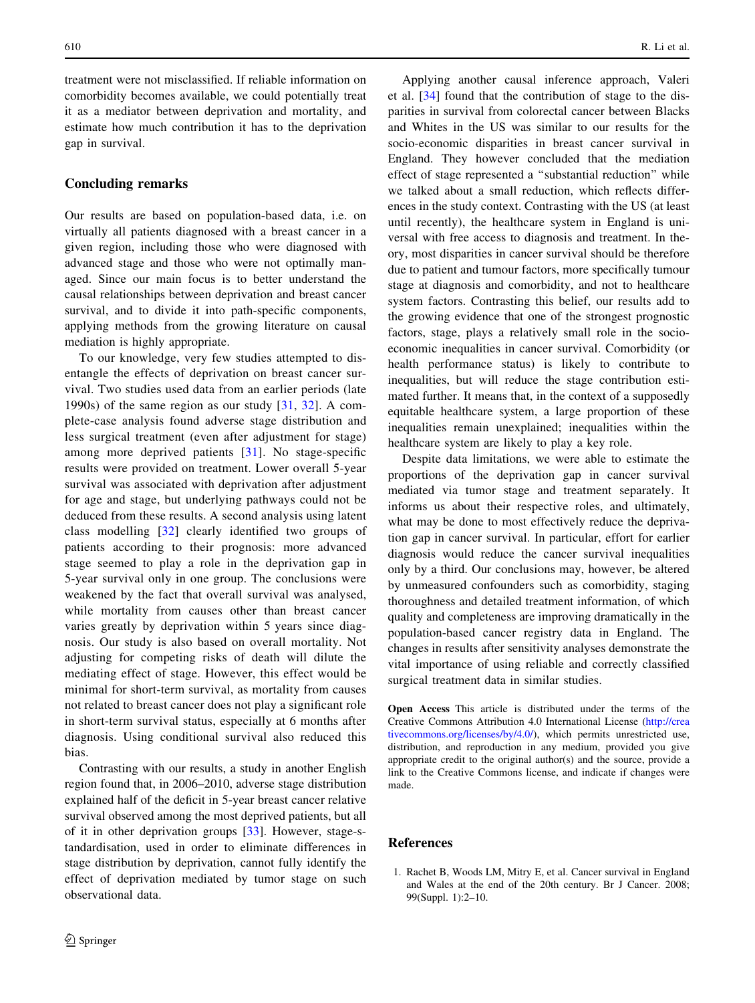<span id="page-7-0"></span>treatment were not misclassified. If reliable information on comorbidity becomes available, we could potentially treat it as a mediator between deprivation and mortality, and estimate how much contribution it has to the deprivation gap in survival.

## Concluding remarks

Our results are based on population-based data, i.e. on virtually all patients diagnosed with a breast cancer in a given region, including those who were diagnosed with advanced stage and those who were not optimally managed. Since our main focus is to better understand the causal relationships between deprivation and breast cancer survival, and to divide it into path-specific components, applying methods from the growing literature on causal mediation is highly appropriate.

To our knowledge, very few studies attempted to disentangle the effects of deprivation on breast cancer survival. Two studies used data from an earlier periods (late 1990s) of the same region as our study [[31,](#page-8-0) [32](#page-8-0)]. A complete-case analysis found adverse stage distribution and less surgical treatment (even after adjustment for stage) among more deprived patients [[31\]](#page-8-0). No stage-specific results were provided on treatment. Lower overall 5-year survival was associated with deprivation after adjustment for age and stage, but underlying pathways could not be deduced from these results. A second analysis using latent class modelling [[32\]](#page-8-0) clearly identified two groups of patients according to their prognosis: more advanced stage seemed to play a role in the deprivation gap in 5-year survival only in one group. The conclusions were weakened by the fact that overall survival was analysed, while mortality from causes other than breast cancer varies greatly by deprivation within 5 years since diagnosis. Our study is also based on overall mortality. Not adjusting for competing risks of death will dilute the mediating effect of stage. However, this effect would be minimal for short-term survival, as mortality from causes not related to breast cancer does not play a significant role in short-term survival status, especially at 6 months after diagnosis. Using conditional survival also reduced this bias.

Contrasting with our results, a study in another English region found that, in 2006–2010, adverse stage distribution explained half of the deficit in 5-year breast cancer relative survival observed among the most deprived patients, but all of it in other deprivation groups [[33\]](#page-8-0). However, stage-standardisation, used in order to eliminate differences in stage distribution by deprivation, cannot fully identify the effect of deprivation mediated by tumor stage on such observational data.

Applying another causal inference approach, Valeri et al. [[34\]](#page-8-0) found that the contribution of stage to the disparities in survival from colorectal cancer between Blacks and Whites in the US was similar to our results for the socio-economic disparities in breast cancer survival in England. They however concluded that the mediation effect of stage represented a ''substantial reduction'' while we talked about a small reduction, which reflects differences in the study context. Contrasting with the US (at least until recently), the healthcare system in England is universal with free access to diagnosis and treatment. In theory, most disparities in cancer survival should be therefore due to patient and tumour factors, more specifically tumour stage at diagnosis and comorbidity, and not to healthcare system factors. Contrasting this belief, our results add to the growing evidence that one of the strongest prognostic factors, stage, plays a relatively small role in the socioeconomic inequalities in cancer survival. Comorbidity (or health performance status) is likely to contribute to inequalities, but will reduce the stage contribution estimated further. It means that, in the context of a supposedly equitable healthcare system, a large proportion of these inequalities remain unexplained; inequalities within the healthcare system are likely to play a key role.

Despite data limitations, we were able to estimate the proportions of the deprivation gap in cancer survival mediated via tumor stage and treatment separately. It informs us about their respective roles, and ultimately, what may be done to most effectively reduce the deprivation gap in cancer survival. In particular, effort for earlier diagnosis would reduce the cancer survival inequalities only by a third. Our conclusions may, however, be altered by unmeasured confounders such as comorbidity, staging thoroughness and detailed treatment information, of which quality and completeness are improving dramatically in the population-based cancer registry data in England. The changes in results after sensitivity analyses demonstrate the vital importance of using reliable and correctly classified surgical treatment data in similar studies.

Open Access This article is distributed under the terms of the Creative Commons Attribution 4.0 International License ([http://crea](http://creativecommons.org/licenses/by/4.0/) [tivecommons.org/licenses/by/4.0/\)](http://creativecommons.org/licenses/by/4.0/), which permits unrestricted use, distribution, and reproduction in any medium, provided you give appropriate credit to the original author(s) and the source, provide a link to the Creative Commons license, and indicate if changes were made.

# References

1. Rachet B, Woods LM, Mitry E, et al. Cancer survival in England and Wales at the end of the 20th century. Br J Cancer. 2008; 99(Suppl. 1):2–10.